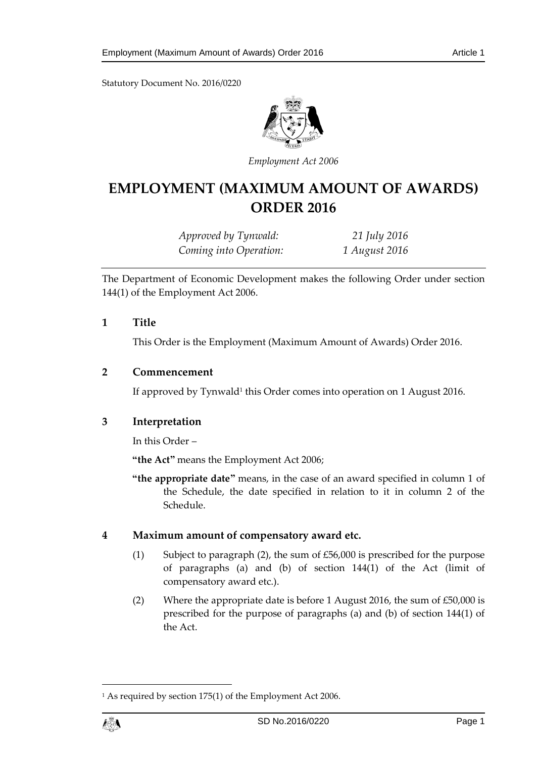Statutory Document No. 2016/0220



*Employment Act 2006*

# **EMPLOYMENT (MAXIMUM AMOUNT OF AWARDS) ORDER 2016**

*Approved by Tynwald: 21 July 2016 Coming into Operation: 1 August 2016*

The Department of Economic Development makes the following Order under section 144(1) of the Employment Act 2006.

#### **1 Title**

This Order is the Employment (Maximum Amount of Awards) Order 2016.

#### **2 Commencement**

If approved by Tynwald<sup>1</sup> this Order comes into operation on 1 August 2016.

## **3 Interpretation**

In this Order –

**"the Act"** means the Employment Act 2006;

**"the appropriate date"** means, in the case of an award specified in column 1 of the Schedule, the date specified in relation to it in column 2 of the Schedule.

#### **4 Maximum amount of compensatory award etc.**

- (1) Subject to paragraph (2), the sum of £56,000 is prescribed for the purpose of paragraphs (a) and (b) of section 144(1) of the Act (limit of compensatory award etc.).
- (2) Where the appropriate date is before 1 August 2016, the sum of £50,000 is prescribed for the purpose of paragraphs (a) and (b) of section 144(1) of the Act.

<sup>1</sup> As required by section 175(1) of the Employment Act 2006.



1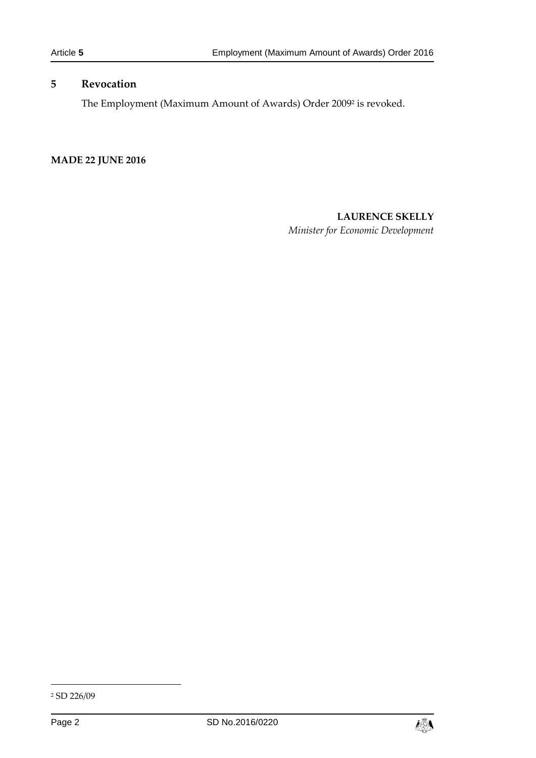## **5 Revocation**

The Employment (Maximum Amount of Awards) Order 2009<sup>2</sup> is revoked.

**MADE 22 JUNE 2016**

#### **LAURENCE SKELLY**

*Minister for Economic Development*

-



<sup>2</sup> SD 226/09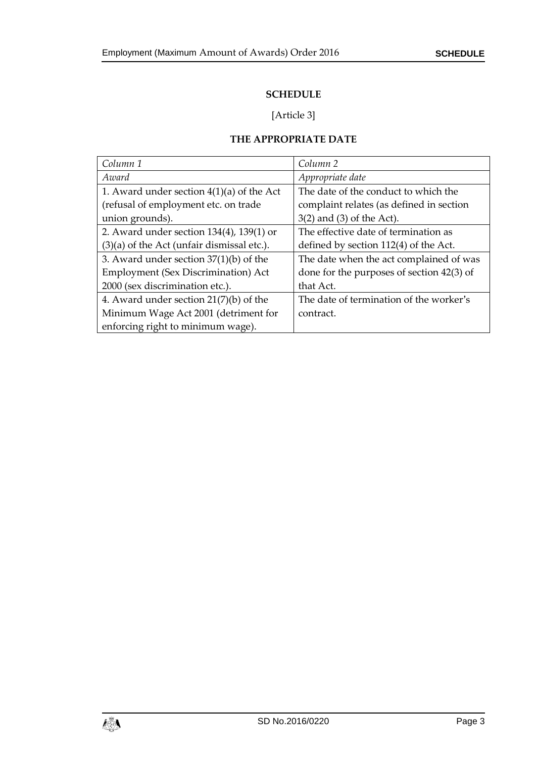### **SCHEDULE**

# [Article 3]

# **THE APPROPRIATE DATE**

| Column <sub>1</sub>                           | Column <sub>2</sub>                         |
|-----------------------------------------------|---------------------------------------------|
| Award                                         | Appropriate date                            |
| 1. Award under section $4(1)(a)$ of the Act   | The date of the conduct to which the        |
| (refusal of employment etc. on trade          | complaint relates (as defined in section    |
| union grounds).                               | $3(2)$ and $(3)$ of the Act).               |
| 2. Award under section $134(4)$ , $139(1)$ or | The effective date of termination as        |
| $(3)(a)$ of the Act (unfair dismissal etc.).  | defined by section 112(4) of the Act.       |
| 3. Award under section $37(1)(b)$ of the      | The date when the act complained of was     |
| Employment (Sex Discrimination) Act           | done for the purposes of section $42(3)$ of |
| 2000 (sex discrimination etc.).               | that Act.                                   |
| 4. Award under section $21(7)(b)$ of the      | The date of termination of the worker's     |
| Minimum Wage Act 2001 (detriment for          | contract.                                   |
| enforcing right to minimum wage).             |                                             |